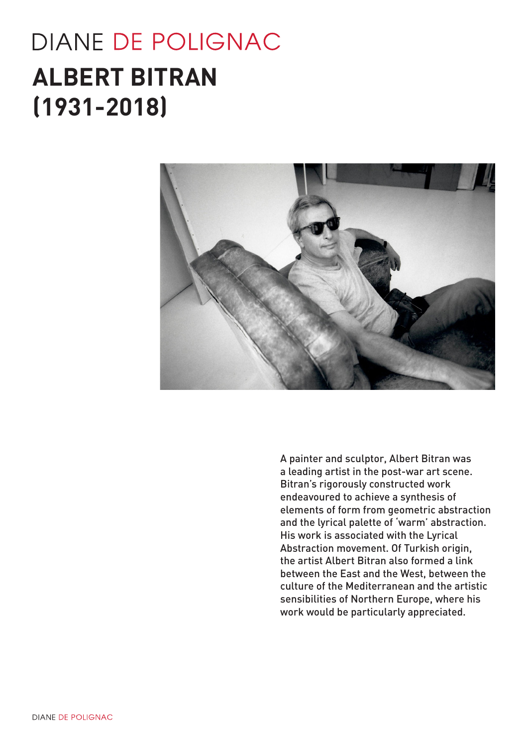# **DIANE DE POLIGNAC ALBERT BITRAN (1931-2018)**



A painter and sculptor, Albert Bitran was a leading artist in the post-war art scene. Bitran's rigorously constructed work endeavoured to achieve a synthesis of elements of form from geometric abstraction and the lyrical palette of 'warm' abstraction. His work is associated with the Lyrical Abstraction movement. Of Turkish origin, the artist Albert Bitran also formed a link between the East and the West, between the culture of the Mediterranean and the artistic sensibilities of Northern Europe, where his work would be particularly appreciated.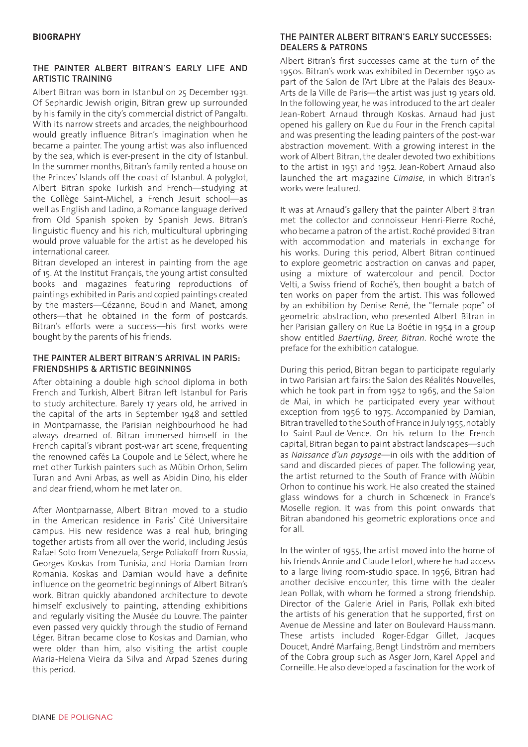## THE PAINTER ALBERT BITRAN'S EARLY LIFE AND ARTISTIC TRAINING

Albert Bitran was born in Istanbul on 25 December 1931. Of Sephardic Jewish origin, Bitran grew up surrounded by his family in the city's commercial district of Pangaltı. With its narrow streets and arcades, the neighbourhood would greatly influence Bitran's imagination when he became a painter. The young artist was also influenced by the sea, which is ever-present in the city of Istanbul. In the summer months, Bitran's family rented a house on the Princes' Islands off the coast of Istanbul. A polyglot, Albert Bitran spoke Turkish and French—studying at the Collège Saint-Michel, a French Jesuit school—as well as English and Ladino, a Romance language derived from Old Spanish spoken by Spanish Jews. Bitran's linguistic fluency and his rich, multicultural upbringing would prove valuable for the artist as he developed his international career.

Bitran developed an interest in painting from the age of 15. At the Institut Français, the young artist consulted books and magazines featuring reproductions of paintings exhibited in Paris and copied paintings created by the masters—Cézanne, Boudin and Manet, among others—that he obtained in the form of postcards. Bitran's efforts were a success—his first works were bought by the parents of his friends.

## THE PAINTER ALBERT BITRAN'S ARRIVAL IN PARIS: FRIENDSHIPS & ARTISTIC BEGINNINGS

After obtaining a double high school diploma in both French and Turkish, Albert Bitran left Istanbul for Paris to study architecture. Barely 17 years old, he arrived in the capital of the arts in September 1948 and settled in Montparnasse, the Parisian neighbourhood he had always dreamed of. Bitran immersed himself in the French capital's vibrant post-war art scene, frequenting the renowned cafés La Coupole and Le Sélect, where he met other Turkish painters such as Mübin Orhon, Selim Turan and Avni Arbas, as well as Abidin Dino, his elder and dear friend, whom he met later on.

After Montparnasse, Albert Bitran moved to a studio in the American residence in Paris' Cité Universitaire campus. His new residence was a real hub, bringing together artists from all over the world, including Jesús Rafael Soto from Venezuela, Serge Poliakoff from Russia, Georges Koskas from Tunisia, and Horia Damian from Romania. Koskas and Damian would have a definite influence on the geometric beginnings of Albert Bitran's work. Bitran quickly abandoned architecture to devote himself exclusively to painting, attending exhibitions and regularly visiting the Musée du Louvre. The painter even passed very quickly through the studio of Fernand Léger. Bitran became close to Koskas and Damian, who were older than him, also visiting the artist couple Maria-Helena Vieira da Silva and Arpad Szenes during this period.

## THE PAINTER ALBERT BITRAN'S EARLY SUCCESSES: DEALERS & PATRONS

Albert Bitran's first successes came at the turn of the 1950s. Bitran's work was exhibited in December 1950 as part of the Salon de l'Art Libre at the Palais des Beaux-Arts de la Ville de Paris—the artist was just 19 years old. In the following year, he was introduced to the art dealer Jean-Robert Arnaud through Koskas. Arnaud had just opened his gallery on Rue du Four in the French capital and was presenting the leading painters of the post-war abstraction movement. With a growing interest in the work of Albert Bitran, the dealer devoted two exhibitions to the artist in 1951 and 1952. Jean-Robert Arnaud also launched the art magazine *Cimaise*, in which Bitran's works were featured.

It was at Arnaud's gallery that the painter Albert Bitran met the collector and connoisseur Henri-Pierre Roché, who became a patron of the artist. Roché provided Bitran with accommodation and materials in exchange for his works. During this period, Albert Bitran continued to explore geometric abstraction on canvas and paper, using a mixture of watercolour and pencil. Doctor Velti, a Swiss friend of Roché's, then bought a batch of ten works on paper from the artist. This was followed by an exhibition by Denise René, the "female pope" of geometric abstraction, who presented Albert Bitran in her Parisian gallery on Rue La Boétie in 1954 in a group show entitled *Baertling, Breer, Bitran*. Roché wrote the preface for the exhibition catalogue.

During this period, Bitran began to participate regularly in two Parisian art fairs: the Salon des Réalités Nouvelles, which he took part in from 1952 to 1965, and the Salon de Mai, in which he participated every year without exception from 1956 to 1975. Accompanied by Damian, Bitran travelled to the South of France in July 1955, notably to Saint-Paul-de-Vence. On his return to the French capital, Bitran began to paint abstract landscapes—such as *Naissance d'un paysage*—in oils with the addition of sand and discarded pieces of paper. The following year, the artist returned to the South of France with Mübin Orhon to continue his work. He also created the stained glass windows for a church in Schœneck in France's Moselle region. It was from this point onwards that Bitran abandoned his geometric explorations once and for all.

In the winter of 1955, the artist moved into the home of his friends Annie and Claude Lefort, where he had access to a large living room-studio space. In 1956, Bitran had another decisive encounter, this time with the dealer Jean Pollak, with whom he formed a strong friendship. Director of the Galerie Ariel in Paris, Pollak exhibited the artists of his generation that he supported, first on Avenue de Messine and later on Boulevard Haussmann. These artists included Roger-Edgar Gillet, Jacques Doucet, André Marfaing, Bengt Lindström and members of the Cobra group such as Asger Jorn, Karel Appel and Corneille. He also developed a fascination for the work of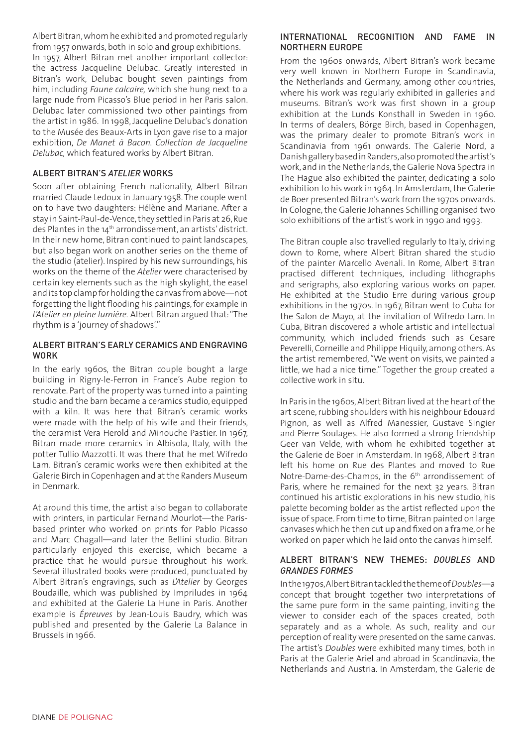Albert Bitran, whom he exhibited and promoted regularly from 1957 onwards, both in solo and group exhibitions. In 1957, Albert Bitran met another important collector: the actress Jacqueline Delubac. Greatly interested in Bitran's work, Delubac bought seven paintings from him, including *Faune calcaire,* which she hung next to a large nude from Picasso's Blue period in her Paris salon. Delubac later commissioned two other paintings from the artist in 1986. In 1998, Jacqueline Delubac's donation to the Musée des Beaux-Arts in Lyon gave rise to a major exhibition, *De Manet à Bacon. Collection de Jacqueline Delubac,* which featured works by Albert Bitran.

## ALBERT BITRAN'S *ATELIER* WORKS

Soon after obtaining French nationality, Albert Bitran married Claude Ledoux in January 1958. The couple went on to have two daughters: Hélène and Mariane. After a stay in Saint-Paul-de-Vence, they settled in Paris at 26, Rue des Plantes in the 14th arrondissement, an artists' district. In their new home, Bitran continued to paint landscapes, but also began work on another series on the theme of the studio (atelier). Inspired by his new surroundings, his works on the theme of the *Atelier* were characterised by certain key elements such as the high skylight, the easel and its top clamp for holding the canvas from above—not forgetting the light flooding his paintings, for example in *L'Atelier en pleine lumière.* Albert Bitran argued that: "The rhythm is a 'journey of shadows'."

## ALBERT BITRAN'S EARLY CERAMICS AND ENGRAVING WORK

In the early 1960s, the Bitran couple bought a large building in Rigny-le-Ferron in France's Aube region to renovate. Part of the property was turned into a painting studio and the barn became a ceramics studio, equipped with a kiln. It was here that Bitran's ceramic works were made with the help of his wife and their friends, the ceramist Vera Herold and Minouche Pastier. In 1967, Bitran made more ceramics in Albisola, Italy, with the potter Tullio Mazzotti. It was there that he met Wifredo Lam. Bitran's ceramic works were then exhibited at the Galerie Birch in Copenhagen and at the Randers Museum in Denmark.

At around this time, the artist also began to collaborate with printers, in particular Fernand Mourlot—the Parisbased printer who worked on prints for Pablo Picasso and Marc Chagall—and later the Bellini studio. Bitran particularly enjoyed this exercise, which became a practice that he would pursue throughout his work. Several illustrated books were produced, punctuated by Albert Bitran's engravings, such as *L'Atelier* by Georges Boudaille, which was published by Impriludes in 1964 and exhibited at the Galerie La Hune in Paris. Another example is *Épreuves* by Jean-Louis Baudry, which was published and presented by the Galerie La Balance in Brussels in 1966.

## INTERNATIONAL RECOGNITION AND FAME IN NORTHERN EUROPE

From the 1960s onwards, Albert Bitran's work became very well known in Northern Europe in Scandinavia, the Netherlands and Germany, among other countries, where his work was regularly exhibited in galleries and museums. Bitran's work was first shown in a group exhibition at the Lunds Konsthall in Sweden in 1960. In terms of dealers, Börge Birch, based in Copenhagen, was the primary dealer to promote Bitran's work in Scandinavia from 1961 onwards. The Galerie Nord, a Danish gallery based in Randers, also promoted the artist's work, and in the Netherlands, the Galerie Nova Spectra in The Hague also exhibited the painter, dedicating a solo exhibition to his work in 1964. In Amsterdam, the Galerie de Boer presented Bitran's work from the 1970s onwards. In Cologne, the Galerie Johannes Schilling organised two solo exhibitions of the artist's work in 1990 and 1993.

The Bitran couple also travelled regularly to Italy, driving down to Rome, where Albert Bitran shared the studio of the painter Marcello Avenali. In Rome, Albert Bitran practised different techniques, including lithographs and serigraphs, also exploring various works on paper. He exhibited at the Studio Erre during various group exhibitions in the 1970s. In 1967, Bitran went to Cuba for the Salon de Mayo, at the invitation of Wifredo Lam. In Cuba, Bitran discovered a whole artistic and intellectual community, which included friends such as Cesare Peverelli, Corneille and Philippe Hiquily, among others. As the artist remembered, "We went on visits, we painted a little, we had a nice time." Together the group created a collective work in situ.

In Paris in the 1960s, Albert Bitran lived at the heart of the art scene, rubbing shoulders with his neighbour Edouard Pignon, as well as Alfred Manessier, Gustave Singier and Pierre Soulages. He also formed a strong friendship Geer van Velde, with whom he exhibited together at the Galerie de Boer in Amsterdam. In 1968, Albert Bitran left his home on Rue des Plantes and moved to Rue Notre-Dame-des-Champs, in the 6<sup>th</sup> arrondissement of Paris, where he remained for the next 32 years. Bitran continued his artistic explorations in his new studio, his palette becoming bolder as the artist reflected upon the issue of space. From time to time, Bitran painted on large canvases which he then cut up and fixed on a frame, or he worked on paper which he laid onto the canvas himself.

## ALBERT BITRAN'S NEW THEMES: *DOUBLES* AND *GRANDES FORMES*

In the 1970s, Albert Bitran tackled the theme of *Doubles*—a concept that brought together two interpretations of the same pure form in the same painting, inviting the viewer to consider each of the spaces created, both separately and as a whole. As such, reality and our perception of reality were presented on the same canvas. The artist's *Doubles* were exhibited many times, both in Paris at the Galerie Ariel and abroad in Scandinavia, the Netherlands and Austria. In Amsterdam, the Galerie de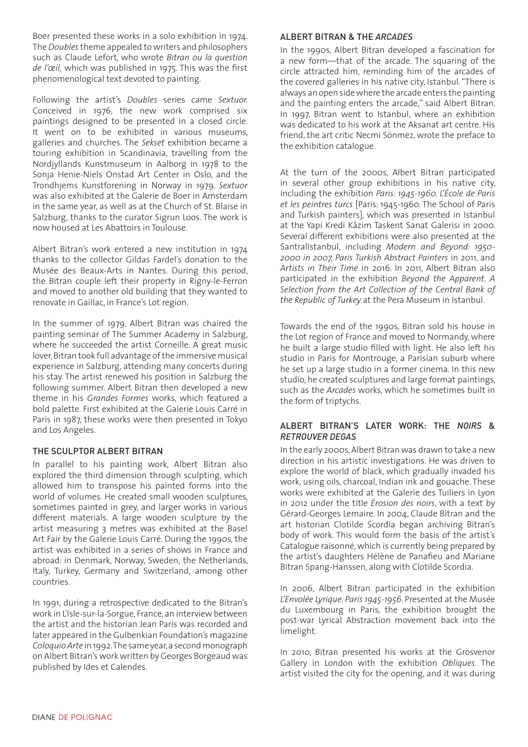Boer presented these works in a solo exhibition in 1974. The *Doubles* theme appealed to writers and philosophers such as Claude Lefort, who wrote *Bitran ou la question de l'œil,* which was published in 1975. This was the first phenomenological text devoted to painting.

Following the artist's *Doubles* series came *Sextuor.*  Conceived in 1976, the new work comprised six paintings designed to be presented in a closed circle. It went on to be exhibited in various museums, galleries and churches. The *Sekset* exhibition became a touring exhibition in Scandinavia, travelling from the Nordjyllands Kunstmuseum in Aalborg in 1978 to the Sonja Henie-Niels Onstad Art Center in Oslo, and the Trondhjems Kunstforening in Norway in 1979. *Sextuor*  was also exhibited at the Galerie de Boer in Amsterdam in the same year, as well as at the Church of St. Blaise in Salzburg, thanks to the curator Sigrun Loos. The work is now housed at Les Abattoirs in Toulouse.

Albert Bitran's work entered a new institution in 1974 thanks to the collector Gildas Fardel's donation to the Musée des Beaux-Arts in Nantes. During this period, the Bitran couple left their property in Rigny-le-Ferron and moved to another old building that they wanted to renovate in Gaillac, in France's Lot region.

In the summer of 1979, Albert Bitran was chaired the painting seminar of The Summer Academy in Salzburg, where he succeeded the artist Corneille. A great music lover, Bitran took full advantage of the immersive musical experience in Salzburg, attending many concerts during his stay. The artist renewed his position in Salzburg the following summer. Albert Bitran then developed a new theme in his *Grandes Formes* works, which featured a bold palette. First exhibited at the Galerie Louis Carré in Paris in 1987, these works were then presented in Tokyo and Los Angeles.

## THE SCULPTOR ALBERT BITRAN

In parallel to his painting work, Albert Bitran also explored the third dimension through sculpting, which allowed him to transpose his painted forms into the world of volumes. He created small wooden sculptures, sometimes painted in grey, and larger works in various different materials. A large wooden sculpture by the artist measuring 3 metres was exhibited at the Basel Art Fair by the Galerie Louis Carré. During the 1990s, the artist was exhibited in a series of shows in France and abroad: in Denmark, Norway, Sweden, the Netherlands, Italy, Turkey, Germany and Switzerland, among other countries.

In 1991, during a retrospective dedicated to the Bitran's work in L'Isle-sur-la-Sorgue, France, an interview between the artist and the historian Jean Paris was recorded and later appeared in the Gulbenkian Foundation's magazine *Coloquio Arte* in 1992. The same year, a second monograph on Albert Bitran's work written by Georges Borgeaud was published by Ides et Calendes.

## ALBERT BITRAN & THE *ARCADES*

In the 1990s, Albert Bitran developed a fascination for a new form—that of the arcade. The squaring of the circle attracted him, reminding him of the arcades of the covered galleries in his native city, Istanbul. "There is always an open side where the arcade enters the painting and the painting enters the arcade," said Albert Bitran. In 1997, Bitran went to Istanbul, where an exhibition was dedicated to his work at the Aksanat art centre. His friend, the art critic Necmi Sönmez, wrote the preface to the exhibition catalogue.

At the turn of the 2000s, Albert Bitran participated in several other group exhibitions in his native city, including the exhibition *Paris: 1945-1960. L'École de Paris et les peintres turcs* [Paris: 1945-1960. The School of Paris and Turkish painters], which was presented in Istanbul at the Yapi Kredi Kâzim Taskent Sanat Galerisi in 2000. Several different exhibitions were also presented at the SantralIstanbul, including *Modern and Beyond: 1950- 2000 in 2007, Paris Turkish Abstract Painters* in 2011, and *Artists in Their Time* in 2016. In 2011, Albert Bitran also participated in the exhibition *Beyond the Apparent. A Selection from the Art Collection of the Central Bank of the Republic of Turkey* at the Pera Museum in Istanbul.

Towards the end of the 1990s, Bitran sold his house in the Lot region of France and moved to Normandy, where he built a large studio filled with light. He also left his studio in Paris for Montrouge, a Parisian suburb where he set up a large studio in a former cinema. In this new studio, he created sculptures and large format paintings, such as the *Arcades* works, which he sometimes built in the form of triptychs.

## ALBERT BITRAN'S LATER WORK: THE *NOIRS* & *RETROUVER DEGAS*

In the early 2000s, Albert Bitran was drawn to take a new direction in his artistic investigations. He was driven to explore the world of black, which gradually invaded his work, using oils, charcoal, Indian ink and gouache. These works were exhibited at the Galerie des Tuiliers in Lyon in 2012 under the title *Érosion des noirs*, with a text by Gérard-Georges Lemaire. In 2004, Claude Bitran and the art historian Clotilde Scordia began archiving Bitran's body of work. This would form the basis of the artist's Catalogue raisonné, which is currently being prepared by the artist's daughters Hélène de Panafieu and Mariane Bitran Spang-Hanssen, along with Clotilde Scordia.

In 2006, Albert Bitran participated in the exhibition *L'Envolée Lyrique. Paris 1945-1956*. Presented at the Musée du Luxembourg in Paris, the exhibition brought the post-war Lyrical Abstraction movement back into the limelight.

In 2010, Bitran presented his works at the Grosvenor Gallery in London with the exhibition *Obliques*. The artist visited the city for the opening, and it was during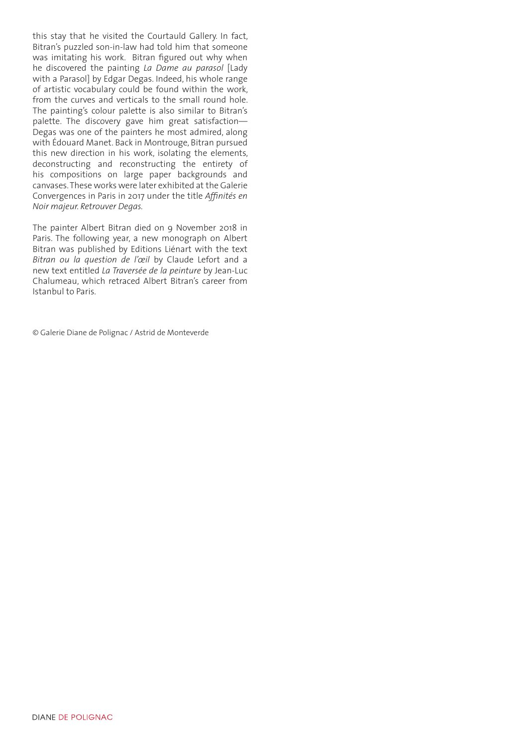this stay that he visited the Courtauld Gallery. In fact, Bitran's puzzled son-in-law had told him that someone was imitating his work. Bitran figured out why when he discovered the painting *La Dame au parasol* [Lady with a Parasol] by Edgar Degas. Indeed, his whole range of artistic vocabulary could be found within the work, from the curves and verticals to the small round hole. The painting's colour palette is also similar to Bitran's palette. The discovery gave him great satisfaction— Degas was one of the painters he most admired, along with Édouard Manet. Back in Montrouge, Bitran pursued this new direction in his work, isolating the elements, deconstructing and reconstructing the entirety of his compositions on large paper backgrounds and canvases. These works were later exhibited at the Galerie Convergences in Paris in 2017 under the title *Affinités en Noir majeur. Retrouver Degas.* 

The painter Albert Bitran died on 9 November 2018 in Paris. The following year, a new monograph on Albert Bitran was published by Editions Liénart with the text *Bitran ou la question de l'œil* by Claude Lefort and a new text entitled *La Traversée de la peinture* by Jean-Luc Chalumeau, which retraced Albert Bitran's career from Istanbul to Paris.

© Galerie Diane de Polignac / Astrid de Monteverde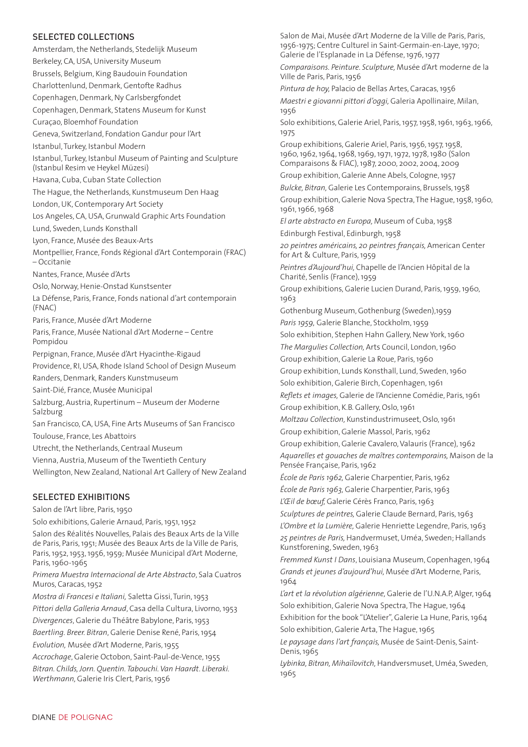## SELECTED COLLECTIONS

Amsterdam, the Netherlands, Stedelijk Museum Berkeley, CA, USA, University Museum Brussels, Belgium, King Baudouin Foundation Charlottenlund, Denmark, Gentofte Radhus Copenhagen, Denmark, Ny Carlsbergfondet Copenhagen, Denmark, Statens Museum for Kunst Curaçao, Bloemhof Foundation Geneva, Switzerland, Fondation Gandur pour l'Art Istanbul, Turkey, Istanbul Modern Istanbul, Turkey, Istanbul Museum of Painting and Sculpture (Istanbul Resim ve Heykel Müzesi) Havana, Cuba, Cuban State Collection The Hague, the Netherlands, Kunstmuseum Den Haag London, UK, Contemporary Art Society Los Angeles, CA, USA, Grunwald Graphic Arts Foundation Lund, Sweden, Lunds Konsthall Lyon, France, Musée des Beaux-Arts Montpellier, France, Fonds Régional d'Art Contemporain (FRAC) – Occitanie Nantes, France, Musée d'Arts Oslo, Norway, Henie-Onstad Kunstsenter La Défense, Paris, France, Fonds national d'art contemporain (FNAC) Paris, France, Musée d'Art Moderne Paris, France, Musée National d'Art Moderne – Centre Pompidou Perpignan, France, Musée d'Art Hyacinthe-Rigaud Providence, RI, USA, Rhode Island School of Design Museum Randers, Denmark, Randers Kunstmuseum Saint-Dié, France, Musée Municipal Salzburg, Austria, Rupertinum – Museum der Moderne Salzburg San Francisco, CA, USA, Fine Arts Museums of San Francisco Toulouse, France, Les Abattoirs Utrecht, the Netherlands, Centraal Museum Vienna, Austria, Museum of the Twentieth Century Wellington, New Zealand, National Art Gallery of New Zealand

#### SELECTED EXHIBITIONS

Salon de l'Art libre, Paris, 1950

Solo exhibitions, Galerie Arnaud, Paris, 1951, 1952

Salon des Réalités Nouvelles, Palais des Beaux Arts de la Ville de Paris, Paris, 1951; Musée des Beaux Arts de la Ville de Paris, Paris, 1952, 1953, 1956, 1959; Musée Municipal d'Art Moderne, Paris, 1960-1965

*Primera Muestra Internacional de Arte Abstracto*, Sala Cuatros Muros, Caracas, 1952

*Mostra di Francesi e Italiani,* Saletta Gissi, Turin, 1953

*Pittori della Galleria Arnaud*, Casa della Cultura, Livorno, 1953

*Divergences*, Galerie du Théâtre Babylone, Paris, 1953 *Baertling. Breer. Bitran*, Galerie Denise René, Paris, 1954 *Evolution,* Musée d'Art Moderne, Paris, 1955

*Accrochage*, Galerie Octobon, Saint-Paul-de-Vence, 1955 *Bitran. Childs, Jorn. Quentin. Tabouchi. Van Haardt. Liberaki. Werthmann,* Galerie Iris Clert, Paris, 1956

Salon de Mai, Musée d'Art Moderne de la Ville de Paris, Paris, 1956-1975; Centre Culturel in Saint-Germain-en-Laye, 1970; Galerie de l'Esplanade in La Défense, 1976, 1977

*Comparaisons. Peinture. Sculpture,* Musée d'Art moderne de la Ville de Paris, Paris, 1956

*Pintura de hoy,* Palacio de Bellas Artes, Caracas, 1956 *Maestri e giovanni pittori d'oggi,* Galeria Apollinaire, Milan, 1956

Solo exhibitions, Galerie Ariel, Paris, 1957, 1958, 1961, 1963, 1966, 1975

Group exhibitions, Galerie Ariel, Paris, 1956, 1957, 1958, 1960, 1962, 1964, 1968, 1969, 1971, 1972, 1978, 1980 (Salon Comparaisons & FIAC), 1987, 2000, 2002, 2004, 2009

Group exhibition, Galerie Anne Abels, Cologne, 1957

*Bulcke, Bitran,* Galerie Les Contemporains, Brussels, 1958

Group exhibition, Galerie Nova Spectra, The Hague, 1958, 1960, 1961, 1966, 1968

*El arte abstracto en Europa,* Museum of Cuba, 1958 Edinburgh Festival, Edinburgh, 1958

*20 peintres américains, 20 peintres français,* American Center for Art & Culture, Paris, 1959

*Peintres d'Aujourd'hui,* Chapelle de l'Ancien Hôpital de la Charité, Senlis (France), 1959

Group exhibitions, Galerie Lucien Durand, Paris, 1959, 1960, 1963

Gothenburg Museum, Gothenburg (Sweden),1959

*Paris 1959,* Galerie Blanche, Stockholm, 1959 Solo exhibition, Stephen Hahn Gallery, New York, 1960

*The Margulies Collection,* Arts Council, London, 1960

Group exhibition, Galerie La Roue, Paris, 1960

Group exhibition, Lunds Konsthall, Lund, Sweden, 1960

Solo exhibition, Galerie Birch, Copenhagen, 1961

*Reflets et images,* Galerie de l'Ancienne Comédie, Paris, 1961

Group exhibition, K.B. Gallery, Oslo, 1961

*Moltzau Collection,* Kunstindustrimuseet, Oslo, 1961

Group exhibition, Galerie Massol, Paris, 1962

Group exhibition, Galerie Cavalero, Valauris (France), 1962 *Aquarelles et gouaches de maîtres contemporains,* Maison de la Pensée Française, Paris, 1962

*École de Paris 1962,* Galerie Charpentier, Paris, 1962 *École de Paris 1963,* Galerie Charpentier, Paris, 1963 *L'Œil de bœuf,* Galerie Cérès Franco, Paris, 1963

*Sculptures de peintres,* Galerie Claude Bernard, Paris, 1963

*L'Ombre et la Lumière,* Galerie Henriette Legendre, Paris, 1963 *25 peintres de Paris,* Handvermuset, Uméa, Sweden; Hallands Kunstforening, Sweden, 1963

*Fremmed Kunst I Dans*, Louisiana Museum, Copenhagen, 1964 *Grands et jeunes d'aujourd'hui,* Musée d'Art Moderne, Paris, 1964

*L'art et la révolution algérienne,* Galerie de l'U.N.A.P, Alger, 1964 Solo exhibition, Galerie Nova Spectra, The Hague, 1964 Exhibition for the book "L'Atelier", Galerie La Hune, Paris, 1964 Solo exhibition, Galerie Arta, The Hague, 1965

*Le paysage dans l'art français,* Musée de Saint-Denis, Saint-Denis, 1965

*Lybinka, Bitran, Mihaïlovitch,* Handversmuset, Uméa, Sweden, 1965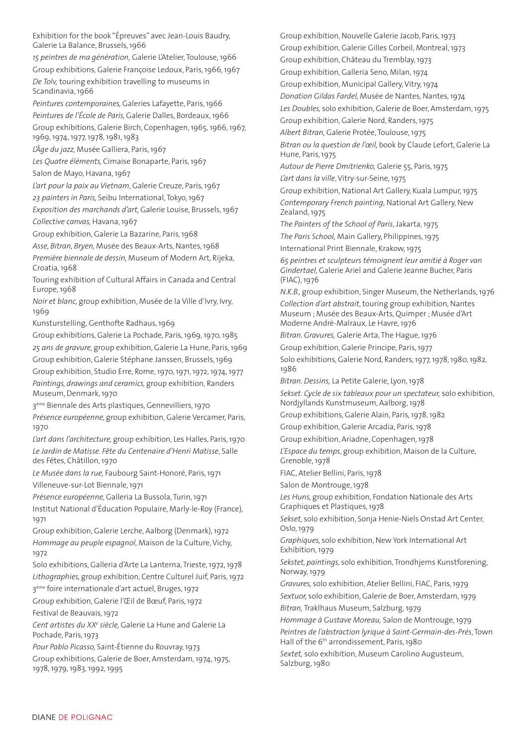Exhibition for the book "Épreuves" avec Jean-Louis Baudry, Galerie La Balance, Brussels, 1966

*15 peintres de ma génération,* Galerie L'Atelier, Toulouse, 1966 Group exhibitions, Galerie Françoise Ledoux, Paris, 1966, 1967 *De Tolv,* touring exhibition travelling to museums in Scandinavia, 1966

*Peintures contemporaines,* Galeries Lafayette, Paris, 1966 *Peintures de l'École de Paris,* Galerie Dalles, Bordeaux, 1966 Group exhibitions, Galerie Birch, Copenhagen, 1965, 1966, 1967, 1969, 1974, 1977, 1978, 1981, 1983

*L'Âge du jazz,* Musée Galliera, Paris, 1967

*Les Quatre éléments,* Cimaise Bonaparte, Paris, 1967 Salon de Mayo, Havana, 1967

*L'art pour la paix au Vietnam*, Galerie Creuze, Paris, 1967 *23 painters in Paris,* Seibu International, Tokyo, 1967

*Exposition des marchands d'art,* Galerie Louise, Brussels, 1967 *Collective canvas,* Havana, 1967

Group exhibition, Galerie La Bazarine, Paris, 1968

*Asse, Bitran, Bryen,* Musée des Beaux-Arts, Nantes, 1968

*Première biennale de dessin,* Museum of Modern Art, Rijeka, Croatia, 1968

Touring exhibition of Cultural Affairs in Canada and Central Europe, 1968

*Noir et blanc,* group exhibition, Musée de la Ville d'Ivry, Ivry, 1969

Kunsturstelling, Genthofte Radhaus, 1969

Group exhibitions, Galerie La Pochade, Paris, 1969, 1970, 1985 *25 ans de gravure,* group exhibition, Galerie La Hune, Paris, 1969 Group exhibition, Galerie Stéphane Janssen, Brussels, 1969 Group exhibition, Studio Erre, Rome, 1970, 1971, 1972, 1974, 1977 *Paintings, drawings and ceramics,* group exhibition, Randers Museum, Denmark, 1970

3ème Biennale des Arts plastiques, Gennevilliers, 1970

*Présence européenne,* group exhibition, Galerie Vercamer, Paris, 1970

*L'art dans l'architecture,* group exhibition, Les Halles, Paris, 1970 *Le Jardin de Matisse. Fête du Centenaire d'Henri Matisse*, Salle des Fêtes, Châtillon, 1970

*Le Musée dans la rue,* Faubourg Saint-Honoré, Paris, 1971 Villeneuve-sur-Lot Biennale, 1971

*Présence européenne,* Galleria La Bussola, Turin, 1971

Institut National d'Éducation Populaire, Marly-le-Roy (France), 1971

Group exhibition, Galerie Lerche, Aalborg (Denmark), 1972 *Hommage au peuple espagnol,* Maison de la Culture, Vichy, 1972

Solo exhibitions, Galleria d'Arte La Lanterna, Trieste, 1972, 1978 *Lithographies,* group exhibition, Centre Culturel Juif, Paris, 1972 3ème foire internationale d'art actuel, Bruges, 1972

Group exhibition, Galerie l'Œil de Bœuf, Paris, 1972 Festival de Beauvais, 1972

*Cent artistes du XXe siècle,* Galerie La Hune and Galerie La Pochade, Paris, 1973

*Pour Pablo Picasso,* Saint-Étienne du Rouvray, 1973

Group exhibitions, Galerie de Boer, Amsterdam, 1974, 1975, 1978, 1979, 1983, 1992, 1995

Group exhibition, Nouvelle Galerie Jacob, Paris, 1973

Group exhibition, Galerie Gilles Corbeil, Montreal, 1973

Group exhibition, Château du Tremblay, 1973

Group exhibition, Galleria Seno, Milan, 1974

Group exhibition, Municipal Gallery, Vitry, 1974

*Donation Gildas Fardel,* Musée de Nantes, Nantes, 1974

*Les Doubles,* solo exhibition, Galerie de Boer, Amsterdam, 1975

Group exhibition, Galerie Nord, Randers, 1975

*Albert Bitran,* Galerie Protée, Toulouse, 1975

*Bitran ou la question de l'œil,* book by Claude Lefort, Galerie La Hune, Paris, 1975

*Autour de Pierre Dmitrienko,* Galerie 55, Paris, 1975 *L'art dans la ville*, Vitry-sur-Seine, 1975

Group exhibition, National Art Gallery, Kuala Lumpur, 1975 *Contemporary French painting,* National Art Gallery, New Zealand, 1975

*The Painters of the School of Paris*, Jakarta, 1975

*The Paris School,* Main Gallery, Philippines, 1975

International Print Biennale, Krakow, 1975

*65 peintres et sculpteurs témoignent leur amitié à Roger van Gindertael,* Galerie Ariel and Galerie Jeanne Bucher, Paris (FIAC), 1976

*N.K.B.,* group exhibition, Singer Museum, the Netherlands, 1976 *Collection d'art abstrait*, touring group exhibition, Nantes Museum ; Musée des Beaux-Arts, Quimper ; Musée d'Art Moderne André-Malraux, Le Havre, 1976

*Bitran. Gravures,* Galerie Arta, The Hague, 1976

Group exhibition, Galerie Principe, Paris, 1977

Solo exhibitions, Galerie Nord, Randers, 1977, 1978, 1980, 1982, 1986

*Bitran. Dessins,* La Petite Galerie, Lyon, 1978

*Sekset. Cycle de six tableaux pour un spectateur,* solo exhibition, Nordjyllands Kunstmuseum, Aalborg, 1978

Group exhibitions, Galerie Alain, Paris, 1978, 1982

Group exhibition, Galerie Arcadia, Paris, 1978

Group exhibition, Ariadne, Copenhagen, 1978

*L'Espace du temps*, group exhibition, Maison de la Culture, Grenoble, 1978

FIAC, Atelier Bellini, Paris, 1978

Salon de Montrouge, 1978

*Les Huns,* group exhibition, Fondation Nationale des Arts Graphiques et Plastiques, 1978

*Sekset,* solo exhibition, Sonja Henie-Niels Onstad Art Center, Oslo, 1979

*Graphiques,* solo exhibition, New York International Art Exhibition, 1979

*Sekstet, paintings,* solo exhibition, Trondhjems Kunstforening, Norway, 1979

*Gravures,* solo exhibition, Atelier Bellini, FIAC, Paris, 1979 *Sextuor,* solo exhibition, Galerie de Boer, Amsterdam, 1979 *Bitran,* Traklhaus Museum, Salzburg, 1979

*Hommage à Gustave Moreau,* Salon de Montrouge, 1979

*Peintres de l'abstraction lyrique à Saint-Germain-des-Prés*, Town Hall of the 6th arrondissement, Paris, 1980

*Sextet,* solo exhibition, Museum Carolino Augusteum, Salzburg, 1980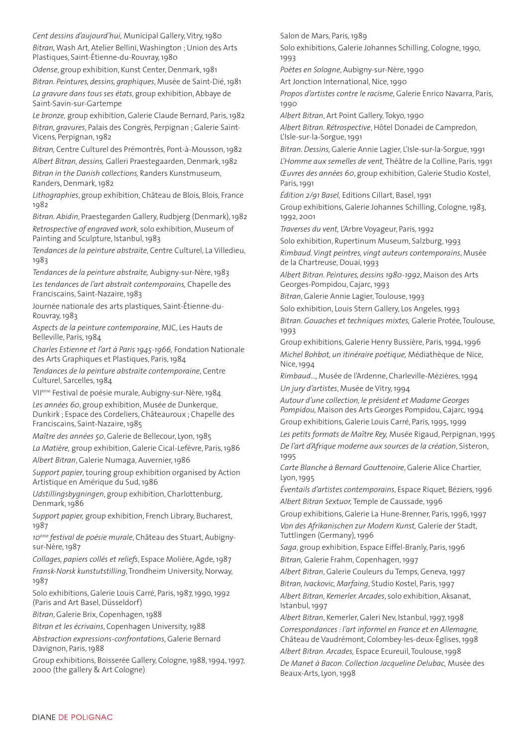*Cent dessins d'aujourd'hui,* Municipal Gallery, Vitry, 1980 *Bitran,* Wash Art, Atelier Bellini, Washington ; Union des Arts Plastiques, Saint-Étienne-du-Rouvray, 1980

*Odense*, group exhibition, Kunst Center, Denmark, 1981 *Bitran. Peintures, dessins, graphiques*, Musée de Saint-Dié, 1981 *La gravure dans tous ses états*, group exhibition, Abbaye de Saint-Savin-sur-Gartempe

*Le bronze,* group exhibition, Galerie Claude Bernard, Paris, 1982 *Bitran, gravures*, Palais des Congrès, Perpignan ; Galerie Saint-Vicens, Perpignan, 1982

*Bitran,* Centre Culturel des Prémontrés, Pont-à-Mousson, 1982

*Albert Bitran, dessins,* Galleri Praestegaarden, Denmark, 1982 *Bitran in the Danish collections,* Randers Kunstmuseum, Randers, Denmark, 1982

*Lithographies*, group exhibition, Château de Blois, Blois, France 1982

*Bitran. Abidin*, Praestegarden Gallery, Rudbjerg (Denmark), 1982 *Retrospective of engraved work,* solo exhibition, Museum of Painting and Sculpture, Istanbul, 1983

*Tendances de la peinture abstraite*, Centre Culturel, La Villedieu, 1983

*Tendances de la peinture abstraite,* Aubigny-sur-Nère, 1983 *Les tendances de l'art abstrait contemporains,* Chapelle des Franciscains, Saint-Nazaire, 1983

Journée nationale des arts plastiques, Saint-Étienne-du-Rouvray, 1983

*Aspects de la peinture contemporaine*, MJC, Les Hauts de Belleville, Paris, 1984

*Charles Estienne et l'art à Paris 1945-1966,* Fondation Nationale des Arts Graphiques et Plastiques, Paris, 1984

*Tendances de la peinture abstraite contemporaine*, Centre Culturel, Sarcelles, 1984

VIIème Festival de poésie murale, Aubigny-sur-Nère, 1984

*Les années 60*, group exhibition, Musée de Dunkerque, Dunkirk ; Espace des Cordeliers, Châteauroux ; Chapelle des Franciscains, Saint-Nazaire, 1985

*Maître des années 50*, Galerie de Bellecour, Lyon, 1985

*La Matière,* group exhibition, Galerie Cical-Lefèvre, Paris, 1986 *Albert Bitran*, Galerie Numaga, Auvernier, 1986

*Support papier*, touring group exhibition organised by Action Artistique en Amérique du Sud, 1986

*Udstillingsbygningen*, group exhibition, Charlottenburg, Denmark, 1986

*Support papier,* group exhibition, French Library, Bucharest, 1987

*10ème festival de poésie murale*, Château des Stuart, Aubignysur-Nère, 1987

*Collages, papiers collés et reliefs*, Espace Molière, Agde, 1987 *Fransk-Norsk kunstutstilling*, Trondheim University, Norway, 1987

Solo exhibitions, Galerie Louis Carré, Paris, 1987, 1990, 1992 (Paris and Art Basel, Düsseldorf)

*Bitran*, Galerie Brix, Copenhagen, 1988

*Bitran et les écrivains*, Copenhagen University, 1988

*Abstraction expressions-confrontations*, Galerie Bernard Davignon, Paris, 1988

Group exhibitions, Boisserée Gallery, Cologne, 1988, 1994, 1997, 2000 (the gallery & Art Cologne)

Salon de Mars, Paris, 1989

Solo exhibitions, Galerie Johannes Schilling, Cologne, 1990, 1993

*Poètes en Sologne*, Aubigny-sur-Nère, 1990

Art Jonction International, Nice, 1990

*Propos d'artistes contre le racisme*, Galerie Enrico Navarra, Paris, 1990

*Albert Bitran*, Art Point Gallery, Tokyo, 1990

*Albert Bitran. Rétrospective*, Hôtel Donadei de Campredon, L'Isle-sur-la-Sorgue, 1991

*Bitran. Dessins,* Galerie Annie Lagier, L'Isle-sur-la-Sorgue, 1991

*L'Homme aux semelles de vent,* Théâtre de la Colline, Paris, 1991 *Œuvres des années 60*, group exhibition, Galerie Studio Kostel, Paris, 1991

*Édition 2/91 Basel,* Editions Cillart, Basel, 1991

Group exhibitions, Galerie Johannes Schilling, Cologne, 1983, 1992, 2001

*Traverses du vent,* L'Arbre Voyageur, Paris, 1992

Solo exhibition, Rupertinum Museum, Salzburg, 1993

*Rimbaud. Vingt peintres, vingt auteurs contemporains*, Musée de la Chartreuse, Douai, 1993

*Albert Bitran. Peintures, dessins 1980-1992*, Maison des Arts Georges-Pompidou, Cajarc, 1993

*Bitran*, Galerie Annie Lagier, Toulouse, 1993

Solo exhibition, Louis Stern Gallery, Los Angeles, 1993

*Bitran. Gouaches et techniques mixtes,* Galerie Protée, Toulouse, 1993

Group exhibitions, Galerie Henry Bussière, Paris, 1994, 1996 *Michel Bohbot, un itinéraire poétique,* Médiathèque de Nice, Nice, 1994

*Rimbaud…,* Musée de l'Ardenne, Charleville-Mézières, 1994 *Un jury d'artistes*, Musée de Vitry, 1994

*Autour d'une collection, le président et Madame Georges Pompidou,* Maison des Arts Georges Pompidou, Cajarc, 1994

Group exhibitions, Galerie Louis Carré, Paris, 1995, 1999 *Les petits formats de Maître Rey,* Musée Rigaud, Perpignan, 1995 *De l'art d'Afrique moderne aux sources de la création*, Sisteron, 1995

*Carte Blanche à Bernard Gouttenoire*, Galerie Alice Chartier, Lyon, 1995

*Éventails d'artistes contemporains*, Espace Riquet, Béziers, 1996 *Albert Bitran Sextuor,* Temple de Caussade, 1996

Group exhibitions, Galerie La Hune-Brenner, Paris, 1996, 1997 *Von des Afrikanischen zur Modern Kunst,* Galerie der Stadt, Tuttlingen (Germany), 1996

*Saga*, group exhibition, Espace Eiffel-Branly, Paris, 1996 *Bitran,* Galerie Frahm, Copenhagen, 1997

*Albert Bitran*, Galerie Couleurs du Temps, Geneva, 1997 *Bitran, Ivackovic, Marfaing*, Studio Kostel, Paris, 1997 *Albert Bitran, Kemerler. Arcades*, solo exhibition, Aksanat, Istanbul, 1997

*Albert Bitran*, Kemerler, Galeri Nev, Istanbul, 1997, 1998 *Correspondances : l'art informel en France et en Allemagne,*  Château de Vaudrémont, Colombey-les-deux-Églises, 1998 *Albert Bitran. Arcades,* Espace Ecureuil, Toulouse, 1998

*De Manet à Bacon. Collection Jacqueline Delubac,* Musée des Beaux-Arts, Lyon, 1998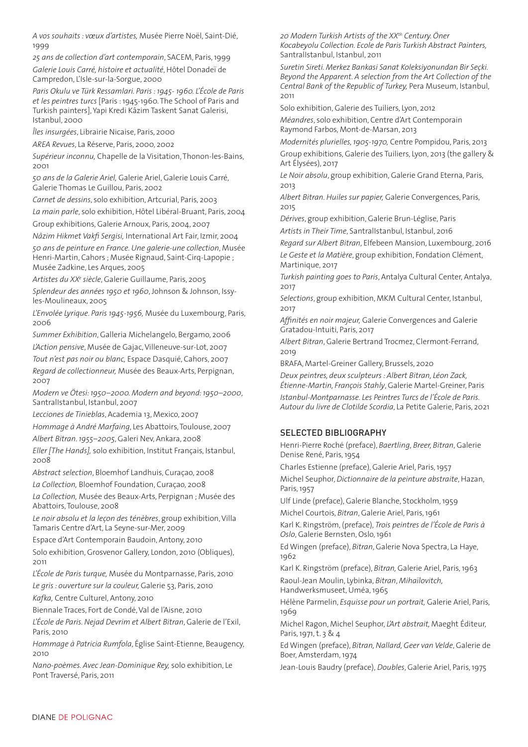*A vos souhaits : vœux d'artistes,* Musée Pierre Noël, Saint-Dié, 1999

*25 ans de collection d'art contemporain*, SACEM, Paris, 1999 *Galerie Louis Carré, histoire et actualité*, Hôtel Donadeï de Campredon, L'Isle-sur-la-Sorgue, 2000

*Paris Okulu ve Türk Ressamlari. Paris : 1945- 1960. L'École de Paris et les peintres turcs* [Paris : 1945-1960. The School of Paris and Turkish painters], Yapi Kredi Kâzim Taskent Sanat Galerisi, Istanbul, 2000

*Îles insurgées*, Librairie Nicaise, Paris, 2000

*AREA Revues*, La Réserve, Paris, 2000, 2002

*Supérieur inconnu,* Chapelle de la Visitation, Thonon-les-Bains, 2001

*50 ans de la Galerie Ariel,* Galerie Ariel, Galerie Louis Carré, Galerie Thomas Le Guillou, Paris, 2002

*Carnet de dessins*, solo exhibition, Artcurial, Paris, 2003

*La main parle*, solo exhibition, Hôtel Libéral-Bruant, Paris, 2004

Group exhibitions, Galerie Arnoux, Paris, 2004, 2007

*Nâzim Hikmet Vakfi Sergisi,* International Art Fair, Izmir, 2004

*50 ans de peinture en France. Une galerie-une collection*, Musée Henri-Martin, Cahors ; Musée Rignaud, Saint-Cirq-Lapopie ; Musée Zadkine, Les Arques, 2005

*Artistes du XXe siècle*, Galerie Guillaume, Paris, 2005

*Splendeur des années 1950 et 1960*, Johnson & Johnson, Issyles-Moulineaux, 2005

*L'Envolée Lyrique. Paris 1945-1956,* Musée du Luxembourg, Paris, 2006

*Summer Exhibition*, Galleria Michelangelo, Bergamo, 2006

*L'Action pensive*, Musée de Gajac, Villeneuve-sur-Lot, 2007

*Tout n'est pas noir ou blanc,* Espace Dasquié, Cahors, 2007 *Regard de collectionneur,* Musée des Beaux-Arts, Perpignan, 2007

*Modern ve Ötesi: 1950–2000. Modern and beyond: 1950–2000*, SantralIstanbul, Istanbul, 2007

*Lecciones de Tinieblas*, Academia 13, Mexico, 2007

*Hommage à André Marfaing*, Les Abattoirs, Toulouse, 2007

*Albert Bitran. 1955–2005*, Galeri Nev, Ankara, 2008

*Eller [The Hands],* solo exhibition, Institut Français, Istanbul, 2008

*Abstract selection*, Bloemhof Landhuis, Curaçao, 2008

*La Collection,* Bloemhof Foundation, Curaçao, 2008

*La Collection,* Musée des Beaux-Arts, Perpignan ; Musée des Abattoirs, Toulouse, 2008

*Le noir absolu et la leçon des ténèbres*, group exhibition, Villa Tamaris Centre d'Art, La Seyne-sur-Mer, 2009

Espace d'Art Contemporain Baudoin, Antony, 2010

Solo exhibition, Grosvenor Gallery, London, 2010 (Obliques), 2011

*L'École de Paris turque,* Musée du Montparnasse, Paris, 2010 *Le gris : ouverture sur la couleur,* Galerie 53, Paris, 2010

*Kafka,* Centre Culturel, Antony, 2010

Biennale Traces, Fort de Condé, Val de l'Aisne, 2010

*L'École de Paris. Nejad Devrim et Albert Bitran*, Galerie de l'Exil, Paris, 2010

*Hommage à Patricia Rumfola*, Église Saint-Etienne, Beaugency, 2010

*Nano-poèmes. Avec Jean-Dominique Rey,* solo exhibition, Le Pont Traversé, Paris, 2011

*20 Modern Turkish Artists of the XXth Century. Öner Kocabeyolu Collection. Ecole de Paris Turkish Abstract Painters,* SantralIstanbul, Istanbul, 2011

*Suretin Sireti. Merkez Bankasi Sanat Koleksiyonundan Bir Seçki. Beyond the Apparent. A selection from the Art Collection of the Central Bank of the Republic of Turkey,* Pera Museum, Istanbul, 2011

Solo exhibition, Galerie des Tuiliers, Lyon, 2012

*Méandres*, solo exhibition, Centre d'Art Contemporain Raymond Farbos, Mont-de-Marsan, 2013

*Modernités plurielles, 1905-1970,* Centre Pompidou, Paris, 2013 Group exhibitions, Galerie des Tuiliers, Lyon, 2013 (the gallery & Art Élysées), 2017

*Le Noir absolu*, group exhibition, Galerie Grand Eterna, Paris, 2013

*Albert Bitran. Huiles sur papier,* Galerie Convergences, Paris, 2015

*Dérives*, group exhibition, Galerie Brun-Léglise, Paris *Artists in Their Time*, SantralIstanbul, Istanbul, 2016

*Regard sur Albert Bitran*, Elfebeen Mansion, Luxembourg, 2016 *Le Geste et la Matière*, group exhibition, Fondation Clément,

Martinique, 2017

*Turkish painting goes to Paris*, Antalya Cultural Center, Antalya, 2017

*Selections*, group exhibition, MKM Cultural Center, Istanbul, 2017

*Affinités en noir majeur,* Galerie Convergences and Galerie Gratadou-Intuiti, Paris, 2017

*Albert Bitran*, Galerie Bertrand Trocmez, Clermont-Ferrand, 2019

BRAFA, Martel-Greiner Gallery, Brussels, 2020

*Deux peintres, deux sculpteurs : Albert Bitran, Léon Zack, Étienne-Martin, François Stahly*, Galerie Martel-Greiner, Paris *Istanbul-Montparnasse. Les Peintres Turcs de l'École de Paris. Autour du livre de Clotilde Scordia*, La Petite Galerie, Paris, 2021

## SELECTED BIBLIOGRAPHY

Henri-Pierre Roché (preface), *Baertling, Breer, Bitran*, Galerie Denise René, Paris, 1954

Charles Estienne (preface), Galerie Ariel, Paris, 1957

Michel Seuphor, *Dictionnaire de la peinture abstraite*, Hazan, Paris, 1957

Ulf Linde (preface), Galerie Blanche, Stockholm, 1959 Michel Courtois, *Bitran*, Galerie Ariel, Paris, 1961

Karl K. Ringström, (preface), *Trois peintres de l'École de Paris à Oslo*, Galerie Bernsten, Oslo, 1961

Ed Wingen (preface), *Bitran*, Galerie Nova Spectra, La Haye, 1962

Karl K. Ringström (preface), *Bitran,* Galerie Ariel, Paris, 1963 Raoul-Jean Moulin, Lybinka, *Bitran*, *Mihaïlovitch,*  Handwerksmuseet, Uméa, 1965

Hélène Parmelin, *Esquisse pour un portrait,* Galerie Ariel, Paris, 1969

Michel Ragon, Michel Seuphor, *L'Art abstrait,* Maeght Éditeur, Paris, 1971, t. 3 & 4

Ed Wingen (preface), *Bitran, Nallard, Geer van Velde*, Galerie de Boer, Amsterdam, 1974

Jean-Louis Baudry (preface), *Doubles*, Galerie Ariel, Paris, 1975